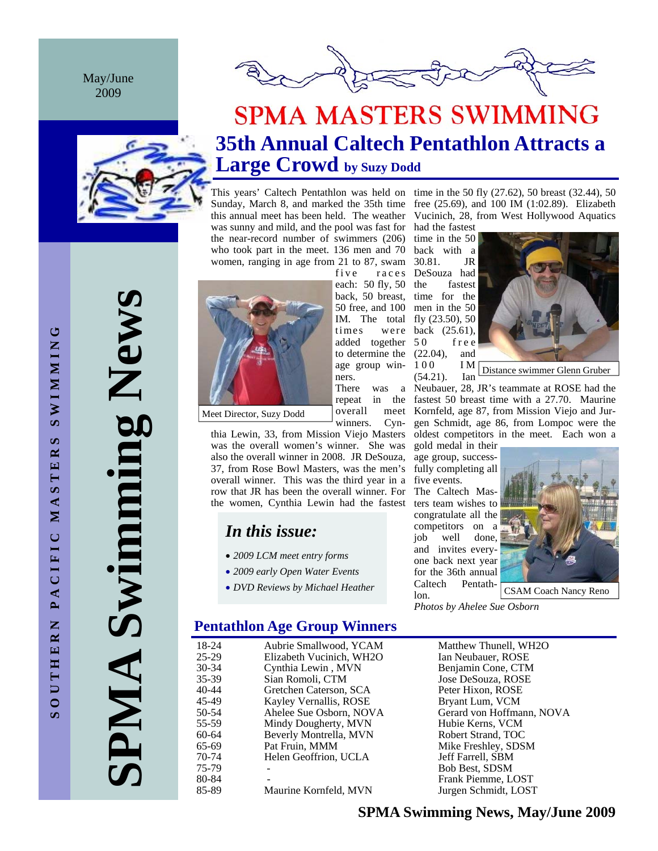May/June 2009



# **SPMA MASTERS SWIMMING 35th Annual Caltech Pentathlon Attracts a Large Crowd by Suzy Dodd**

was sunny and mild, and the pool was fast for had the fastest the near-record number of swimmers  $(206)$  time in the 50 who took part in the meet. 136 men and 70 back with a women, ranging in age from 21 to 87, swam 30.81. JR



Meet Director, Suzy Dodd

thia Lewin, 33, from Mission Viejo Masters was the overall women's winner. She was also the overall winner in 2008. JR DeSouza, 37, from Rose Bowl Masters, was the men's overall winner. This was the third year in a row that JR has been the overall winner. For the women, Cynthia Lewin had the fastest

ners. There was

overall

winners. Cyn-

## *In this issue:*

- *2009 LCM meet entry forms*
- *2009 early Open Water Events*
- *DVD Reviews by Michael Heather*

## **Pentathlon Age Group Winners**

18-24 Aubrie Smallwood, YCAM Matthew Thunell, WH2O<br>25-29 Elizabeth Vucinich, WH2O Ian Neubauer, ROSE 25-29 Elizabeth Vucinich, WH2O Ian Neubauer, ROSE<br>
20034 Cynthia Lewin, MVN Benjamin Cone, CTM 30-34 Cynthia Lewin , MVN Benjamin Cone, CTM<br>35-39 Sian Romoli. CTM Jose DeSouza. ROSE 35-39 Sian Romoli, CTM Jose DeSouza, ROSE Gretchen Caterson, SCA 45-49 Kayley Vernallis, ROSE Bryant Lum, VCM 50-54 Ahelee Sue Osborn, NOVA Gerard von Hoffmann, NOVA<br>55-59 Mindy Dougherty, MVN Hubie Kerns, VCM 55-59 Mindy Dougherty, MVN Hubie Kerns, VCM<br>60-64 Beverly Montrella. MVN Robert Strand. TOC Beverly Montrella, MVN 65-69 Pat Fruin, MMM Mike Freshley, SDSM 70-74 Helen Geoffrion, UCLA Jeff Farrell, SBM 75-79 - Bob Best, SDSM 80-84 - Frank Piemme, LOST 85-89 Maurine Kornfeld, MVN Jurgen Schmidt, LOST

This years' Caltech Pentathlon was held on time in the 50 fly  $(27.62)$ , 50 breast  $(32.44)$ , 50 Sunday, March 8, and marked the  $35th$  time free  $(25.69)$ , and  $100$  IM  $(1:02.89)$ . Elizabeth this annual meet has been held. The weather Vucinich, 28, from West Hollywood Aquatics

> five races DeSouza had fastest back, 50 breast, time for the  $50$  free, and  $100$  men in the  $50$ IM. The total fly  $(23.50)$ , 50 times were back (25.61), f r e e to determine the  $(22.04)$ , and age group win-  $100$  IM (54.21). Ian each: 50 fly, 50 the added together



Distance swimmer Glenn Gruber

Neubauer, 28, JR's teammate at ROSE had the repeat in the fastest 50 breast time with a 27.70. Maurine meet Kornfeld, age 87, from Mission Viejo and Jurgen Schmidt, age 86, from Lompoc were the oldest competitors in the meet. Each won a

gold medal in their age group, successfully completing all five events. The Caltech Masters team wishes to congratulate all the competitors on a job well done, and invites everyone back next year for the 36th annual Caltech Pentathlon.



CSAM Coach Nancy Reno

*Photos by Ahelee Sue Osborn* 

**SPMA Swimming News**  PMA Swimming New!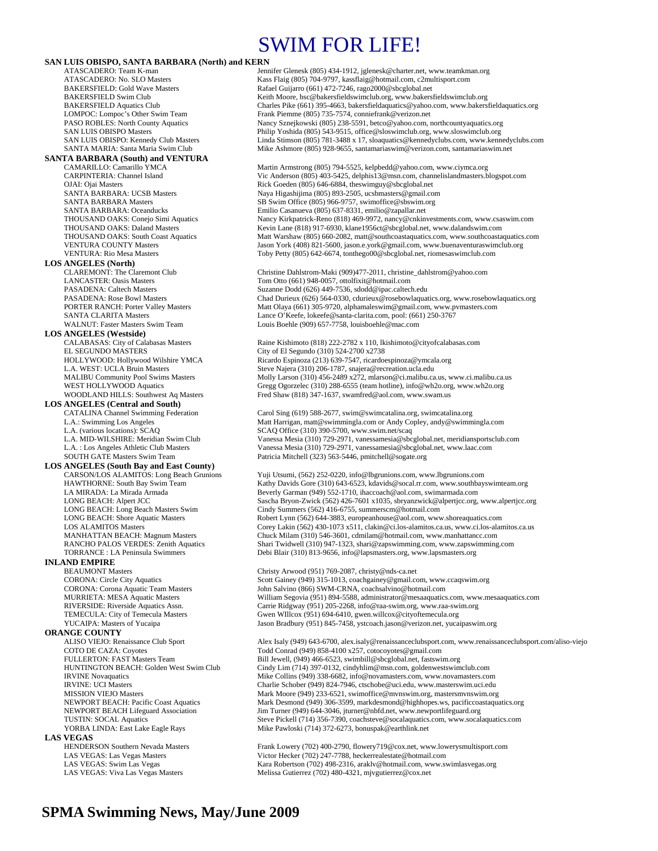# SWIM FOR LIFE!

## **SAN LUIS OBISPO, SANTA BARBARA (North) and KERN**<br>ATASCADERO: Team K-man<br>Jeni

## **SANTA BARBARA (South) and VENTURA**

**LOS ANGELES (North)** 

**LOS ANGELES (Westside)** EL SEGUNDO MASTERS City of El Segundo (310) 524-2700 x2738<br>
HOLLYWOOD: Hollywood Wilshire YMCA Ricardo Espinoza (213) 639-7547, ricardo

**LOS ANGELES (Central and South)** 

#### **LOS ANGELES (South Bay and East County)**

## **INLAND EMPIRE**<br>**BEAUMONT Masters**

**ORANGE COUNTY**<br>ALISO VIEJO: Renaissance Club Sport **LAS VEGAS**<br> **HENDERSON Southern Nevada Masters** 

ATASCADERO: Team K-man Jennifer Glenesk (805) 434-1912, jglenesk @charter.net, www.teamkman.org<br>ATASCADERO: No. SLO Masters Kass Flaig (805) 704-9797, kassflaig @hotmail.com, c2multisport.com ATASCADERO: No. SLO Masters Kass Flaig (805) 704-9797, kassflaig@hotmail.com, c2multisport.com<br>BAKERSFIELD: Gold Wave Masters Rafael Guijarro (661) 472-7246, rago2000@sbcglobal.net BAKERSFIELD: Gold Wave Masters **Rafael Guijarro (661) 472-7246**, rago2000@sbcglobal.net<br>BAKERSFIELD Swim Club **Rafael States Register Registers** Keith Moore, bsc@bakersfieldswimclub.org, www.bakers BAKERSFIELD Swim Club<br>BAKERSFIELD Aquatics Club Charles Pike (661) 395-4663, bakersfieldaquatics @yahoo.com, www.bakersf Charles Pike (661) 395-4663, bakersfieldaquatics@yahoo.com, www.bakersfieldaquatics.org LOMPOC: Lompoc's Other Swim Team Frank Piemme (805) 735-7574, conniefrank @verizon.net<br>PASO ROBLES: North County Aquatics Nancy Sznejkowski (805) 238-5591, betco@yahoo.com, r PASO ROBLES: North County Aquatics Nancy Sznejkowski (805) 238-5591, betco@yahoo.com, northcountyaquatics.org<br>Philip Yoshida (805) 543-9515, office@sloswimclub.org. www.sloswimclub.org SAN LUIS OBISPO Masters<br>
SAN LUIS OBISPO: Kennedy Club Masters<br>
Einda Stimson (805) 781-3488 x 17, sloaquatics@kennedyclubs.com, www.kenne Linda Stimson (805) 781-3488 x 17, sloaquatics@kennedyclubs.com, www.kennedyclubs.com SANTA MARIA: Santa Maria Swim Club Mike Ashmore (805) 928-9655, santamariaswim@verizon.com, santamariaswim.net

CAMARILLO: Camarillo YMCA Martin Armstrong (805) 794-5525, kelpbedd@yahoo.com, www.ciymca.org<br>CARPINTERIA: Channel Island Vic Anderson (805) 403-5425, delphis13@msn.com, channelislandmasters.b CARPINTERIA: Channel Island Vic Anderson (805) 403-5425, delphis13@msn.com, channelislandmasters.blogspot.com<br>OJAI: Ojai Masters Ulgaspot.com<br>Rick Goeden (805) 646-6884, theswimguy@sbcglobal.net OJAI: Ojai Masters **Calcularis Rick Goeden (805) 646-6884**, theswimguy@sbcglobal.net<br>
SANTA BARBARA: UCSB Masters **Rick Goeden (805) 893-2505**, ucsbmasters @gmail.co SANTA BARBARA: UCSB Masters Naya Higashijima (805) 893-2505, ucsbmasters@gmail.com<br>SANTA BARBARA Masters SB Swim Office (805) 966-9757, swimoffice@sbswim.org SANTA BARBARA Masters SB Swim Office (805) 966-9757, swimoffice@sbswim.org<br>SANTA BARBARA: Oceanducks Emilio Casanueva (805) 637-8331, emilio@zapallar.net SANTA BARBARA: Oceanducks Emilio Casanueva (805) 637-8331, emilio@zapallar.net<br>
THOUSAND OAKS: Conejo Simi Aquatics Nancy Kirkpatrick-Reno (818) 469-9972, nancy@cnkinv THOUSAND OAKS: Conejo Simi Aquatics Nancy Kirkpatrick-Reno (818) 469-9972, nancy @cnkinvestments.com, www.csaswim.com<br>THOUSAND OAKS: Daland Masters Kevin Lane (818) 917-6930 klane1956ct@shcølobal net\_www.dalandswim.com THOUSAND OAKS: Daland Masters Kevin Lane (818) 917-6930, klane1956ct@sbcglobal.net, www.dalandswim.com<br>THOUSAND OAKS: South Coast Aquatics Matt Warshaw (805) 660-2082, matt@southcoastaquatics.com, www.southcoasta THOUSAND OAKS: South Coast Aquatics Matt Warshaw (805) 660-2082, matt@southcoastaquatics.com, www.southcoastaquatics.com<br>Matt Warshaw Matters Matters Matt Matt Matt Marshaw (805) 660-2082, matt@southcoastaquatics.com, www. VENTURA COUNTY Masters<br>
VENTURA · Rio Mesa Masters Toby Petty (805) 642-6674 tonthego()0@shcglobal net\_riomesaswimclub.org<br>
VENTURA · Rio Mesa Masters Toby Petty (805) 642-6674, tonthego00@sbcglobal.net, riomesaswimclub.com

Christine Dahlstrom-Maki (909)477-2011, christine\_dahlstrom@yahoo.com LANCASTER: Oasis Masters Tom Otto (661) 948-0057, ottolfixit@hotmail.com<br>
PASADENA: Caltech Masters Tom Collection Suzanne Dodd (626) 449-7536, sdodd@ipac.caltec PASADENA: Caltech Masters Suzanne Dodd (626) 449-7536, sdodd@ipac.caltech.edu<br>PASADENA: Rose Bowl Masters Suzanne Chad Durieux (626) 564-0330, cdurieux @rosebowlaqua PASADENA: Rose Bowl Masters Chad Durieux (626) 564-0330, cdurieux @rosebowlaquatics.org, www.rosebowlaquatics.org<br>
PORTER RANCH: Porter Valley Masters Com Matt Olaya (661) 305-9720, alphamaleswim@gmail.com, www.pymasters.c Matt Olaya (661) 305-9720, alphamaleswim@gmail.com, www.pvmasters.com SANTA CLARITA Masters Lance O'Keefe, lokeefe@santa-clarita.com, pool: (661) 250-3767 WALNUT: Faster Masters Swim Team Louis Boehle (909) 657-7758, louisboehle@mac.com

CALABASAS: City of Calabasas Masters Raine Kishimoto (818) 222-2782 x 110, lkishimoto@cityofcalabasas.com<br>EL SEGUNDO MASTERS City of El Segundo (310) 524-2700 x2738 Ricardo Espinoza (213) 639-7547, ricardoespinoza@ymcala.org L.A. WEST: UCLA Bruin Masters Steve Najera (310) 206-1787, snajera@recreation.ucla.edu<br>MALIBU Community Pool Swims Masters Masters Molly Larson (310) 456-2489 x272. mlarson@ci.malibu.ca MALIBU Community Pool Swims Masters Molly Larson (310) 456-2489 x272, mlarson @ci.malibu.ca.us, www.ci.malibu.ca.us<br>WEST HOLLYWOOD Aquatics Gregg Ogorzelec (310) 288-6555 (team hotline), info@wh2o.org, www.wh2o.org WEST HOLLYWOOD Aquatics Gregg Ogorzelec (310) 288-6555 (team hotline), info@wh2o.org, www.wh2o.org<br>WOODLAND HILLS: Southwest Aq Masters Fred Shaw (818) 347-1637, swamfred@aol.com, www.swam.us Fred Shaw (818) 347-1637, swamfred@aol.com, www.swam.us

Carol Sing (619) 588-2677, swim@swimcatalina.org, swimcatalina.org L.A.: Swimming Los Angeles Matt Harrigan, matt @swimmingla.com or Andy Copley, andy @swimmingla.com<br>L.A. (various locations): SCAQ SCAQ SCAQ Office (310) 390-5700, www.swim.net/scaq L.A. (various locations): SCAQ SCAQ SCAQ Office (310) 390-5700, www.swim.net/scaq<br>
L.A. MID-WILSHIRE: Meridian Swim Club Vanessa Mesia (310) 729-2971, vanessamesia@sbc; L.A. MID-WILSHIRE: Meridian Swim Club Vanessa Mesia (310) 729-2971, vanessamesia@sbcglobal.net, meridiansportsclub.com Vanessa Mesia (310) 729-2971, vanessamesia@sbcglobal.net, www.laac.com SOUTH GATE Masters Swim Team Patricia Mitchell (323) 563-5446, pmitchell@sogate.org

CARSON/LOS ALAMITOS: Long Beach Grunions Yuji Utsumi, (562) 252-0220, info@lbgrunions.com, www.lbgrunions.com Kathy Davids Gore (310) 643-6523, kdavids@socal.rr.com, www.southbayswimteam.org LA MIRADA: La Mirada Armada Beverly Garman (949) 552-1710, ihaccoach@aol.com, swimarmada.com LONG BEACH: Alpert JCC Sascha Bryon-Zwick (562) 426-7601 x1035, sbryanzwick@alpertjcc.org, www.alpertjcc.org LONG BEACH: Long Beach Masters Swim Cindy Summers (562) 416-6755, summerscm@hotmail.com LONG BEACH: Shore Aquatic Masters Robert Lynn (562) 644-3883, europeanhouse@aol.com, www.shoreaquatics.com<br>Corey Lakin (562) 430-1073 x511, clakin@ci.los-alamitos.ca.us, www.ci.los-alar LOS ALAMITOS Masters Corey Lakin (562) 430-1073 x511, clakin@ci.los-alamitos.ca.us, www.ci.los-alamitos.ca.us<br>MANHATTAN BEACH: Magnum Masters Chuck Milam (310) 546-3601, cdmilam@hotmail.com, www.manhattancc.com MANHATTAN BEACH: Magnum Masters Chuck Milam (310) 546-3601, cdmilam@hotmail.com, www.manhattancc.com<br>RANCHO PALOS VERDES: Zenith Aquatics Shari Twidwell (310) 947-1323, shari@zapswimming.com, www.zapswimming RANCHO PALOS VERDES: Zenith Aquatics Shari Twidwell (310) 947-1323, shari@zapswimming.com, www.zapswimming.com<br>TORRANCE : LA Peninsula Swimmers Debi Blair (310) 813-9656, info@lapsmasters.org, www.lapsmasters.org Debi Blair (310) 813-9656, info@lapsmasters.org, www.lapsmasters.org

Christy Arwood (951) 769-2087, christy@nds-ca.net CORONA: Circle City Aquatics Scott Gainey (949) 315-1013, coachgainey@gmail.com, www.ccaqswim.org CORONA: Corona Aquatic Team Masters John Salvino (866) SWM-CRNA, coachsalvino@hotmail.com MURRIETA: MESA Aquatic Masters William Segovia (951) 894-5588, administrator@mesaaquatics.com, www.mesaaquatics.com RIVERSIDE: Riverside Aquatics Assn. Carrie Ridgway (951) 205-2268, info@raa-swim.org, www.raa-swim.org TEMECULA: City of Temecula Masters Gwen WIllcox (951) 694-6410, gwen.willcox@cityoftemecula.org YUCAIPA: Masters of Yucaipa Jason Bradbury (951) 845-7458, ystcoach.jason@verizon.net, yucaipaswim.org

ALISO VIEJO: Renaissance Club Sport <br>COTO DE CAZA: Covotes Club Sport **Alex Isaly (949) 643-6700**, alex.isaly@renaissanceclubsport.com, www.renaissanceclubsport.com/aliso-viejo<br>
Todd Conrad (949) 858-4100 x257, cotocovotes COTO DE CAZA: Coyotes Todd Conrad (949) 858-4100 x257, cotocoyotes@gmail.com Bill Jewell, (949) 466-6523, swimbill@sbcglobal.net, fastswim.org HUNTINGTON BEACH: Golden West Swim Club Cindy Lim (714) 397-0132, cindyhlim@msn.com, goldenwestswimclub.com IRVINE Novaquatics Mike Collins (949) 338-6682, info@novamasters.com, www.novamasters.com IRVINE: UCI Masters Charlie Schober (949) 824-7946, ctschobe@uci.edu, www.masterswim.uci.edu MISSION VIEJO Masters Mark Moore (949) 233-6521, swimoffice@mvnswim.org, mastersmvnswim.org NEWPORT BEACH: Pacific Coast Aquatics Mark Desmond (949) 306-3599, markdesmond@highhopes.ws, pacificcoastaquatics.org NEWPORT BEACH Lifeguard Association Jim Turner (949) 644-3046, jturner@nbfd.net, www.newportlifeguard.org<br>TUSTIN: SOCAL Aquatics com, www.socal Steve Pickell (714) 356-7390, coachsteve@socalaquatics.com, www.socalaquatics.com YORBA LINDA: East Lake Eagle Rays Mike Pawloski (714) 372-6273, bonuspak@earthlink.net

HENDERSON Southern Nevada Masters Frank Lowery (702) 400-2790, flowery 719@cox.net, www.lowerysmultisport.com<br>
LAS VEGAS: Las Vegas Masters Victor Hecker (702) 247-7788, heckerrealestate@hotmail.com<br>
LAS VEGAS: Swim Las Ve Victor Hecker (702) 247-7788, heckerrealestate@hotmail.com LAS VEGAS: Swim Las Vegas Kara Robertson (702) 498-2316, araklv@hotmail.com, www.swimlasvegas.org<br>LAS VEGAS: Viva Las Vegas Masters Melissa Gutierrez (702) 480-4321, mjvgutierrez@cox.net Melissa Gutierrez (702) 480-4321, mjvgutierrez@cox.net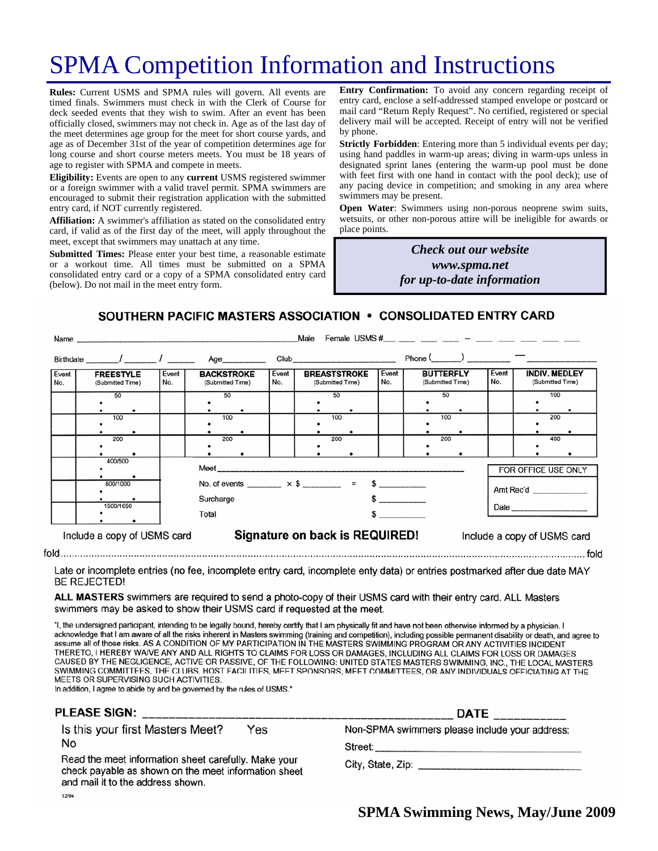# SPMA Competition Information and Instructions

**Rules:** Current USMS and SPMA rules will govern. All events are timed finals. Swimmers must check in with the Clerk of Course for deck seeded events that they wish to swim. After an event has been officially closed, swimmers may not check in. Age as of the last day of the meet determines age group for the meet for short course yards, and age as of December 31st of the year of competition determines age for long course and short course meters meets. You must be 18 years of age to register with SPMA and compete in meets.

**Eligibility:** Events are open to any **current** USMS registered swimmer or a foreign swimmer with a valid travel permit. SPMA swimmers are encouraged to submit their registration application with the submitted entry card, if NOT currently registered.

**Affiliation:** A swimmer's affiliation as stated on the consolidated entry card, if valid as of the first day of the meet, will apply throughout the meet, except that swimmers may unattach at any time.

**Submitted Times:** Please enter your best time, a reasonable estimate or a workout time. All times must be submitted on a SPMA consolidated entry card or a copy of a SPMA consolidated entry card (below). Do not mail in the meet entry form.

**Entry Confirmation:** To avoid any concern regarding receipt of entry card, enclose a self-addressed stamped envelope or postcard or mail card "Return Reply Request". No certified, registered or special delivery mail will be accepted. Receipt of entry will not be verified by phone.

**Strictly Forbidden**: Entering more than 5 individual events per day; using hand paddles in warm-up areas; diving in warm-ups unless in designated sprint lanes (entering the warm-up pool must be done with feet first with one hand in contact with the pool deck); use of any pacing device in competition; and smoking in any area where swimmers may be present.

**Open Water**: Swimmers using non-porous neoprene swim suits, wetsuits, or other non-porous attire will be ineligible for awards or place points.

> *Check out our website www.spma.net for up-to-date information*

SOUTHERN PACIFIC MASTERS ASSOCIATION • CONSOLIDATED ENTRY CARD

| Male<br>Name                |                                                      |  |                                       |                                                                       |              |                                         |                                                                                                                                                                                                                                |              |                                      |     |                             |                                          |     |  |
|-----------------------------|------------------------------------------------------|--|---------------------------------------|-----------------------------------------------------------------------|--------------|-----------------------------------------|--------------------------------------------------------------------------------------------------------------------------------------------------------------------------------------------------------------------------------|--------------|--------------------------------------|-----|-----------------------------|------------------------------------------|-----|--|
|                             |                                                      |  |                                       | Age_________                                                          |              |                                         | Club and the contract of the contract of the contract of the contract of the contract of the contract of the contract of the contract of the contract of the contract of the contract of the contract of the contract of the c |              |                                      |     |                             |                                          |     |  |
| Event<br>No.                | Event<br><b>FREESTYLE</b><br>No.<br>(Submitted Time) |  | <b>BACKSTROKE</b><br>(Submitted Time) |                                                                       | Event<br>No. | <b>BREASTSTROKE</b><br>(Submitted Time) |                                                                                                                                                                                                                                | Event<br>No. | <b>BUTTERFLY</b><br>(Submitted Time) |     | Event<br>No.                | <b>INDIV. MEDLEY</b><br>(Submitted Time) |     |  |
|                             | 50                                                   |  | 50                                    |                                                                       |              |                                         | 50                                                                                                                                                                                                                             |              |                                      | 50  |                             |                                          | 100 |  |
|                             | 100                                                  |  | 100                                   |                                                                       |              |                                         | 100                                                                                                                                                                                                                            |              |                                      | 100 |                             |                                          | 200 |  |
|                             | 200                                                  |  | 200                                   |                                                                       |              |                                         | 200                                                                                                                                                                                                                            |              |                                      | 200 |                             |                                          | 400 |  |
|                             | 400/500                                              |  |                                       |                                                                       |              |                                         |                                                                                                                                                                                                                                |              |                                      |     |                             | FOR OFFICE USE ONLY                      |     |  |
|                             | 800/1000                                             |  |                                       | No. of events ________ $\times$ \$ _______ = \$ ________<br>Surcharge |              |                                         |                                                                                                                                                                                                                                |              |                                      |     | Amt Rec'd                   |                                          |     |  |
| 1500/1650                   |                                                      |  | Total                                 |                                                                       |              |                                         |                                                                                                                                                                                                                                |              |                                      |     |                             |                                          |     |  |
| Include a copy of USMS card |                                                      |  |                                       | Signature on back is REQUIRED!                                        |              |                                         |                                                                                                                                                                                                                                |              |                                      |     | Include a copy of USMS card |                                          |     |  |

Late or incomplete entries (no fee, incomplete entry card, incomplete enty data) or entries postmarked after due date MAY **BE REJECTED!** 

ALL MASTERS swimmers are required to send a photo-copy of their USMS card with their entry card. ALL Masters swimmers may be asked to show their USMS card if requested at the meet.

"I, the undersigned participant, intending to be legally bound, hereby certify that I am physically fit and have not been otherwise informed by a physician. I acknowledge that I am aware of all the risks inherent in Masters swimming (training and competition), including possible permanent disability or death, and agree to assume all of those risks. AS A CONDITION OF MY PARTICIPATION IN THE MASTERS SWIMMING PROGRAM OR ANY ACTIVITIES INCIDENT THERETO, I HEREBY WAIVE ANY AND ALL RIGHTS TO CLAIMS FOR LOSS OR DAMAGES, INCLUDING ALL CLAIMS FOR LOSS OR DAMAGES CAUSED BY THE NEGLIGENCE, ACTIVE OR PASSIVE, OF THE FOLLOWING: UNITED STATES MASTERS SWIMMING, INC., THE LOCAL MASTERS SWIMMING COMMITTEES, THE CLUBS, HOST FACILITIES, MEET SPONSORS, MEET COMMITTEES, OR ANY INDIVIDUALS OFFICIATING AT THE MEETS OR SUPERVISING SUCH ACTIVITIES.

In addition, I agree to abide by and be governed by the rules of USMS."

## PLEASE SIGN:

Is this your first Masters Meet? Yes No

Read the meet information sheet carefully. Make your check payable as shown on the meet information sheet and mail it to the address shown. 12/94

|                                                | <b>DATE</b> |  | the contract of the contract of the contract of the contract of the contract of the contract of the contract of |  |
|------------------------------------------------|-------------|--|-----------------------------------------------------------------------------------------------------------------|--|
| Non-SPMA swimmers please include your address: |             |  |                                                                                                                 |  |

Street:

City, State, Zip: Electric Article Article Article Article Article Article Article Article Article Article Article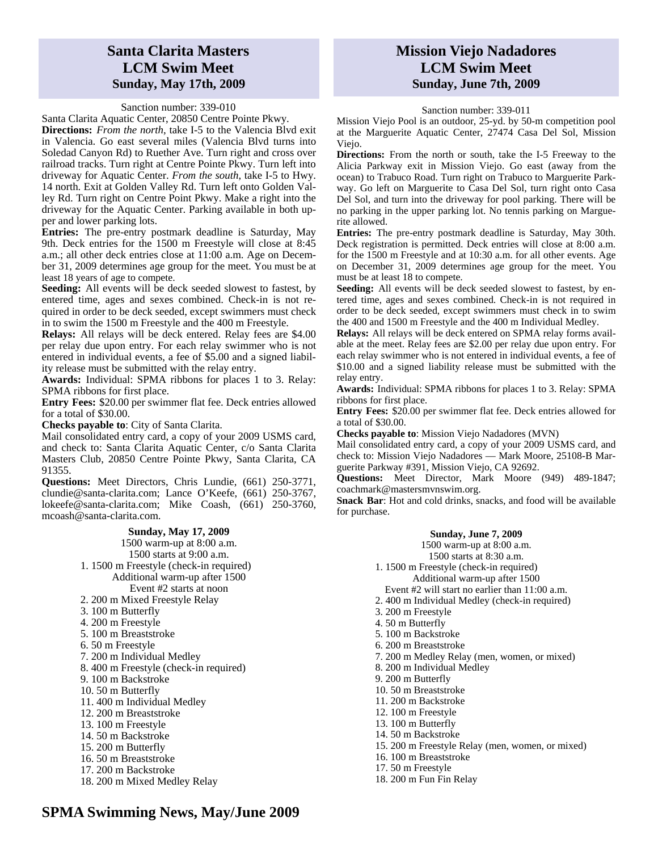## **Santa Clarita Masters LCM Swim Meet Sunday, May 17th, 2009**

#### Sanction number: 339-010

Santa Clarita Aquatic Center, 20850 Centre Pointe Pkwy.

**Directions:** *From the north*, take I-5 to the Valencia Blvd exit in Valencia. Go east several miles (Valencia Blvd turns into Soledad Canyon Rd) to Ruether Ave. Turn right and cross over railroad tracks. Turn right at Centre Pointe Pkwy. Turn left into driveway for Aquatic Center. *From the south*, take I-5 to Hwy. 14 north. Exit at Golden Valley Rd. Turn left onto Golden Valley Rd. Turn right on Centre Point Pkwy. Make a right into the driveway for the Aquatic Center. Parking available in both upper and lower parking lots.

**Entries:** The pre-entry postmark deadline is Saturday, May 9th. Deck entries for the 1500 m Freestyle will close at 8:45 a.m.; all other deck entries close at 11:00 a.m. Age on December 31, 2009 determines age group for the meet. You must be at least 18 years of age to compete.

**Seeding:** All events will be deck seeded slowest to fastest, by entered time, ages and sexes combined. Check-in is not required in order to be deck seeded, except swimmers must check in to swim the 1500 m Freestyle and the 400 m Freestyle.

**Relays:** All relays will be deck entered. Relay fees are \$4.00 per relay due upon entry. For each relay swimmer who is not entered in individual events, a fee of \$5.00 and a signed liability release must be submitted with the relay entry.

**Awards:** Individual: SPMA ribbons for places 1 to 3. Relay: SPMA ribbons for first place.

**Entry Fees:** \$20.00 per swimmer flat fee. Deck entries allowed for a total of \$30.00.

**Checks payable to**: City of Santa Clarita.

Mail consolidated entry card, a copy of your 2009 USMS card, and check to: Santa Clarita Aquatic Center, c/o Santa Clarita Masters Club, 20850 Centre Pointe Pkwy, Santa Clarita, CA 91355.

**Questions:** Meet Directors, Chris Lundie, (661) 250-3771, clundie@santa-clarita.com; Lance O'Keefe, (661) 250-3767, lokeefe@santa-clarita.com; Mike Coash, (661) 250-3760, mcoash@santa-clarita.com.

> **Sunday, May 17, 2009**  1500 warm-up at 8:00 a.m. 1500 starts at 9:00 a.m. 1. 1500 m Freestyle (check-in required) Additional warm-up after 1500 Event #2 starts at noon 2. 200 m Mixed Freestyle Relay

- 3. 100 m Butterfly
- 4. 200 m Freestyle
- 5. 100 m Breaststroke
- 6. 50 m Freestyle
- 7. 200 m Individual Medley
- 8. 400 m Freestyle (check-in required)
- 9. 100 m Backstroke
- 10. 50 m Butterfly
- 11. 400 m Individual Medley
- 12. 200 m Breaststroke
- 13. 100 m Freestyle
- 14. 50 m Backstroke
- 15. 200 m Butterfly
- 16. 50 m Breaststroke
- 17. 200 m Backstroke
- 18. 200 m Mixed Medley Relay

## **Mission Viejo Nadadores LCM Swim Meet Sunday, June 7th, 2009**

#### Sanction number: 339-011

Mission Viejo Pool is an outdoor, 25-yd. by 50-m competition pool at the Marguerite Aquatic Center, 27474 Casa Del Sol, Mission Viejo.

**Directions:** From the north or south, take the I-5 Freeway to the Alicia Parkway exit in Mission Viejo. Go east (away from the ocean) to Trabuco Road. Turn right on Trabuco to Marguerite Parkway. Go left on Marguerite to Casa Del Sol, turn right onto Casa Del Sol, and turn into the driveway for pool parking. There will be no parking in the upper parking lot. No tennis parking on Marguerite allowed.

**Entries:** The pre-entry postmark deadline is Saturday, May 30th. Deck registration is permitted. Deck entries will close at 8:00 a.m. for the 1500 m Freestyle and at 10:30 a.m. for all other events. Age on December 31, 2009 determines age group for the meet. You must be at least 18 to compete.

**Seeding:** All events will be deck seeded slowest to fastest, by entered time, ages and sexes combined. Check-in is not required in order to be deck seeded, except swimmers must check in to swim the 400 and 1500 m Freestyle and the 400 m Individual Medley.

**Relays:** All relays will be deck entered on SPMA relay forms available at the meet. Relay fees are \$2.00 per relay due upon entry. For each relay swimmer who is not entered in individual events, a fee of \$10.00 and a signed liability release must be submitted with the relay entry.

**Awards:** Individual: SPMA ribbons for places 1 to 3. Relay: SPMA ribbons for first place.

**Entry Fees:** \$20.00 per swimmer flat fee. Deck entries allowed for a total of \$30.00.

**Checks payable to**: Mission Viejo Nadadores (MVN)

Mail consolidated entry card, a copy of your 2009 USMS card, and check to: Mission Viejo Nadadores — Mark Moore, 25108-B Marguerite Parkway #391, Mission Viejo, CA 92692.

**Questions:** Meet Director, Mark Moore (949) 489-1847; coachmark@mastersmvnswim.org.

**Snack Bar**: Hot and cold drinks, snacks, and food will be available for purchase.

#### **Sunday, June 7, 2009**

1500 warm-up at 8:00 a.m. 1500 starts at 8:30 a.m. 1. 1500 m Freestyle (check-in required) Additional warm-up after 1500 Event #2 will start no earlier than 11:00 a.m. 2. 400 m Individual Medley (check-in required) 3. 200 m Freestyle 4. 50 m Butterfly 5. 100 m Backstroke 6. 200 m Breaststroke 7. 200 m Medley Relay (men, women, or mixed) 8. 200 m Individual Medley 9. 200 m Butterfly 10. 50 m Breaststroke 11. 200 m Backstroke 12. 100 m Freestyle 13. 100 m Butterfly 14. 50 m Backstroke 15. 200 m Freestyle Relay (men, women, or mixed) 16. 100 m Breaststroke 17. 50 m Freestyle

18. 200 m Fun Fin Relay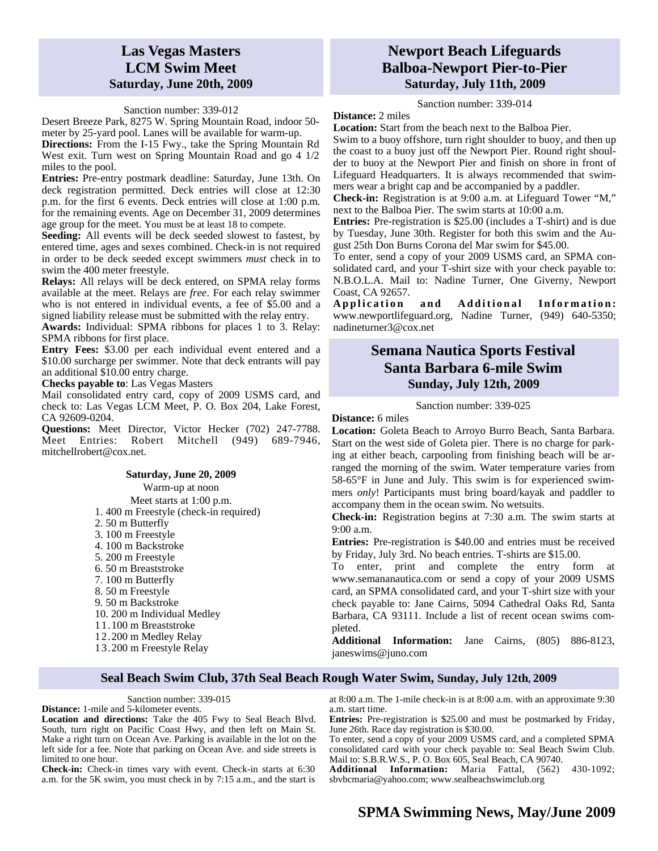## **Las Vegas Masters LCM Swim Meet Saturday, June 20th, 2009**

#### Sanction number: 339-012

Desert Breeze Park, 8275 W. Spring Mountain Road, indoor 50 meter by 25-yard pool. Lanes will be available for warm-up.

**Directions:** From the I-15 Fwy., take the Spring Mountain Rd West exit. Turn west on Spring Mountain Road and go 4 1/2 miles to the pool.

**Entries:** Pre-entry postmark deadline: Saturday, June 13th. On deck registration permitted. Deck entries will close at 12:30 p.m. for the first 6 events. Deck entries will close at 1:00 p.m. for the remaining events. Age on December 31, 2009 determines age group for the meet. You must be at least 18 to compete.

**Seeding:** All events will be deck seeded slowest to fastest, by entered time, ages and sexes combined. Check-in is not required in order to be deck seeded except swimmers *must* check in to swim the 400 meter freestyle.

**Relays:** All relays will be deck entered, on SPMA relay forms available at the meet. Relays are *free*. For each relay swimmer who is not entered in individual events, a fee of \$5.00 and a signed liability release must be submitted with the relay entry.

**Awards:** Individual: SPMA ribbons for places 1 to 3. Relay: SPMA ribbons for first place.

**Entry Fees:** \$3.00 per each individual event entered and a \$10.00 surcharge per swimmer. Note that deck entrants will pay an additional \$10.00 entry charge.

**Checks payable to**: Las Vegas Masters

Mail consolidated entry card, copy of 2009 USMS card, and check to: Las Vegas LCM Meet, P. O. Box 204, Lake Forest, CA 92609-0204.

**Questions:** Meet Director, Victor Hecker (702) 247-7788. Meet Entries: Robert Mitchell (949) 689-7946, mitchellrobert@cox.net.

#### **Saturday, June 20, 2009**

Warm-up at noon

Meet starts at 1:00 p.m.

- 1. 400 m Freestyle (check-in required)
- 2. 50 m Butterfly
- 3. 100 m Freestyle
- 4. 100 m Backstroke
- 5. 200 m Freestyle
- 6. 50 m Breaststroke
- 7. 100 m Butterfly
- 8. 50 m Freestyle
- 9. 50 m Backstroke
- 10. 200 m Individual Medley
- 11.100 m Breaststroke
- 12.200 m Medley Relay
- 13.200 m Freestyle Relay

## **Newport Beach Lifeguards Balboa-Newport Pier-to-Pier Saturday, July 11th, 2009**

Sanction number: 339-014

**Distance:** 2 miles

**Location:** Start from the beach next to the Balboa Pier. Swim to a buoy offshore, turn right shoulder to buoy, and then up the coast to a buoy just off the Newport Pier. Round right shoulder to buoy at the Newport Pier and finish on shore in front of Lifeguard Headquarters. It is always recommended that swimmers wear a bright cap and be accompanied by a paddler.

**Check-in:** Registration is at 9:00 a.m. at Lifeguard Tower "M," next to the Balboa Pier. The swim starts at 10:00 a.m.

**Entries:** Pre-registration is \$25.00 (includes a T-shirt) and is due by Tuesday, June 30th. Register for both this swim and the August 25th Don Burns Corona del Mar swim for \$45.00.

To enter, send a copy of your 2009 USMS card, an SPMA consolidated card, and your T-shirt size with your check payable to: N.B.O.L.A. Mail to: Nadine Turner, One Giverny, Newport Coast, CA 92657.

Application and Additional Information: www.newportlifeguard.org, Nadine Turner, (949) 640-5350; nadineturner3@cox.net

## **Semana Nautica Sports Festival Santa Barbara 6-mile Swim Sunday, July 12th, 2009**

#### Sanction number: 339-025

**Distance:** 6 miles

**Location:** Goleta Beach to Arroyo Burro Beach, Santa Barbara. Start on the west side of Goleta pier. There is no charge for parking at either beach, carpooling from finishing beach will be arranged the morning of the swim. Water temperature varies from 58-65°F in June and July. This swim is for experienced swimmers *only*! Participants must bring board/kayak and paddler to accompany them in the ocean swim. No wetsuits.

**Check-in:** Registration begins at 7:30 a.m. The swim starts at 9:00 a.m.

**Entries:** Pre-registration is \$40.00 and entries must be received by Friday, July 3rd. No beach entries. T-shirts are \$15.00.

To enter, print and complete the entry form at www.semananautica.com or send a copy of your 2009 USMS card, an SPMA consolidated card, and your T-shirt size with your check payable to: Jane Cairns, 5094 Cathedral Oaks Rd, Santa Barbara, CA 93111. Include a list of recent ocean swims completed.

**Additional Information:** Jane Cairns, (805) 886-8123, janeswims@juno.com

## **Seal Beach Swim Club, 37th Seal Beach Rough Water Swim, Sunday, July 12th, 2009**

Sanction number: 339-015

**Distance:** 1-mile and 5-kilometer events.

**Location and directions:** Take the 405 Fwy to Seal Beach Blvd. South, turn right on Pacific Coast Hwy, and then left on Main St. Make a right turn on Ocean Ave. Parking is available in the lot on the left side for a fee. Note that parking on Ocean Ave. and side streets is limited to one hour.

**Check-in:** Check-in times vary with event. Check-in starts at 6:30 a.m. for the 5K swim, you must check in by 7:15 a.m., and the start is at 8:00 a.m. The 1-mile check-in is at 8:00 a.m. with an approximate 9:30 a.m. start time.

**Entries:** Pre-registration is \$25.00 and must be postmarked by Friday, June 26th. Race day registration is \$30.00.

To enter, send a copy of your 2009 USMS card, and a completed SPMA consolidated card with your check payable to: Seal Beach Swim Club. Mail to: S.B.R.W.S., P. O. Box 605, Seal Beach, CA 90740.

**Additional Information:** Maria Fattal, (562) 430-1092; sbvbcmaria@yahoo.com; www.sealbeachswimclub.org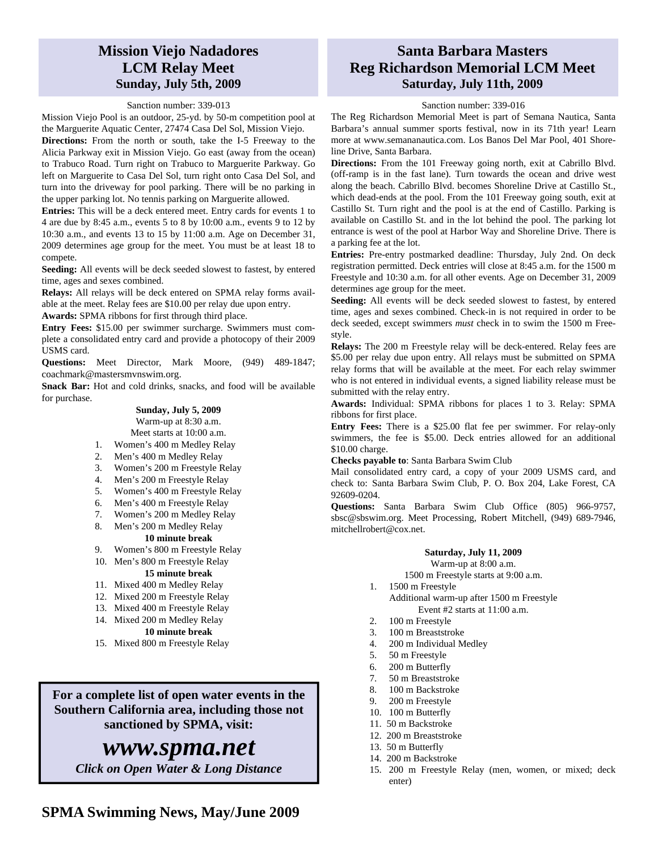## **Mission Viejo Nadadores LCM Relay Meet Sunday, July 5th, 2009**

### Sanction number: 339-013

Mission Viejo Pool is an outdoor, 25-yd. by 50-m competition pool at the Marguerite Aquatic Center, 27474 Casa Del Sol, Mission Viejo.

**Directions:** From the north or south, take the I-5 Freeway to the Alicia Parkway exit in Mission Viejo. Go east (away from the ocean) to Trabuco Road. Turn right on Trabuco to Marguerite Parkway. Go left on Marguerite to Casa Del Sol, turn right onto Casa Del Sol, and turn into the driveway for pool parking. There will be no parking in the upper parking lot. No tennis parking on Marguerite allowed.

**Entries:** This will be a deck entered meet. Entry cards for events 1 to 4 are due by 8:45 a.m., events 5 to 8 by 10:00 a.m., events 9 to 12 by 10:30 a.m., and events 13 to 15 by 11:00 a.m. Age on December 31, 2009 determines age group for the meet. You must be at least 18 to compete.

**Seeding:** All events will be deck seeded slowest to fastest, by entered time, ages and sexes combined.

**Relays:** All relays will be deck entered on SPMA relay forms available at the meet. Relay fees are \$10.00 per relay due upon entry.

**Awards:** SPMA ribbons for first through third place.

**Entry Fees:** \$15.00 per swimmer surcharge. Swimmers must complete a consolidated entry card and provide a photocopy of their 2009 USMS card.

**Questions:** Meet Director, Mark Moore, (949) 489-1847; coachmark@mastersmvnswim.org.

**Snack Bar:** Hot and cold drinks, snacks, and food will be available for purchase.

#### **Sunday, July 5, 2009**  Warm-up at 8:30 a.m. Meet starts at 10:00 a.m.

- 1. Women's 400 m Medley Relay
- 2. Men's 400 m Medley Relay
- 3. Women's 200 m Freestyle Relay
- 4. Men's 200 m Freestyle Relay
- 5. Women's 400 m Freestyle Relay
- 6. Men's 400 m Freestyle Relay
- 7. Women's 200 m Medley Relay
- 8. Men's 200 m Medley Relay

## **10 minute break**

9. Women's 800 m Freestyle Relay

#### 10. Men's 800 m Freestyle Relay **15 minute break**

- 11. Mixed 400 m Medley Relay
- 12. Mixed 200 m Freestyle Relay
- 13. Mixed 400 m Freestyle Relay
- 14. Mixed 200 m Medley Relay

### **10 minute break**

15. Mixed 800 m Freestyle Relay

# **For a complete list of open water events in the Southern California area, including those not**

**sanctioned by SPMA, visit:** 

# *www.spma.net*

*Click on Open Water & Long Distance* 

## **Santa Barbara Masters Reg Richardson Memorial LCM Meet Saturday, July 11th, 2009**

### Sanction number: 339-016

The Reg Richardson Memorial Meet is part of Semana Nautica, Santa Barbara's annual summer sports festival, now in its 71th year! Learn more at www.semananautica.com. Los Banos Del Mar Pool, 401 Shoreline Drive, Santa Barbara.

**Directions:** From the 101 Freeway going north, exit at Cabrillo Blvd. (off-ramp is in the fast lane). Turn towards the ocean and drive west along the beach. Cabrillo Blvd. becomes Shoreline Drive at Castillo St., which dead-ends at the pool. From the 101 Freeway going south, exit at Castillo St. Turn right and the pool is at the end of Castillo. Parking is available on Castillo St. and in the lot behind the pool. The parking lot entrance is west of the pool at Harbor Way and Shoreline Drive. There is a parking fee at the lot.

**Entries:** Pre-entry postmarked deadline: Thursday, July 2nd. On deck registration permitted. Deck entries will close at 8:45 a.m. for the 1500 m Freestyle and 10:30 a.m. for all other events. Age on December 31, 2009 determines age group for the meet.

**Seeding:** All events will be deck seeded slowest to fastest, by entered time, ages and sexes combined. Check-in is not required in order to be deck seeded, except swimmers *must* check in to swim the 1500 m Freestyle.

**Relays:** The 200 m Freestyle relay will be deck-entered. Relay fees are \$5.00 per relay due upon entry. All relays must be submitted on SPMA relay forms that will be available at the meet. For each relay swimmer who is not entered in individual events, a signed liability release must be submitted with the relay entry.

**Awards:** Individual: SPMA ribbons for places 1 to 3. Relay: SPMA ribbons for first place.

**Entry Fees:** There is a \$25.00 flat fee per swimmer. For relay-only swimmers, the fee is \$5.00. Deck entries allowed for an additional \$10.00 charge.

#### **Checks payable to**: Santa Barbara Swim Club

Mail consolidated entry card, a copy of your 2009 USMS card, and check to: Santa Barbara Swim Club, P. O. Box 204, Lake Forest, CA 92609-0204.

**Questions:** Santa Barbara Swim Club Office (805) 966-9757, sbsc@sbswim.org. Meet Processing, Robert Mitchell, (949) 689-7946, mitchellrobert@cox.net.

#### **Saturday, July 11, 2009**  Warm-up at 8:00 a.m.

1500 m Freestyle starts at 9:00 a.m.

- 1. 1500 m Freestyle Additional warm-up after 1500 m Freestyle Event #2 starts at 11:00 a.m.
- 2. 100 m Freestyle
- 3. 100 m Breaststroke
- 4. 200 m Individual Medley
- 5. 50 m Freestyle
- 6. 200 m Butterfly
- 7. 50 m Breaststroke
- 8. 100 m Backstroke
- 9. 200 m Freestyle
- 10. 100 m Butterfly
- 11. 50 m Backstroke
- 12. 200 m Breaststroke
- 13. 50 m Butterfly
- 14. 200 m Backstroke
- 15. 200 m Freestyle Relay (men, women, or mixed; deck enter)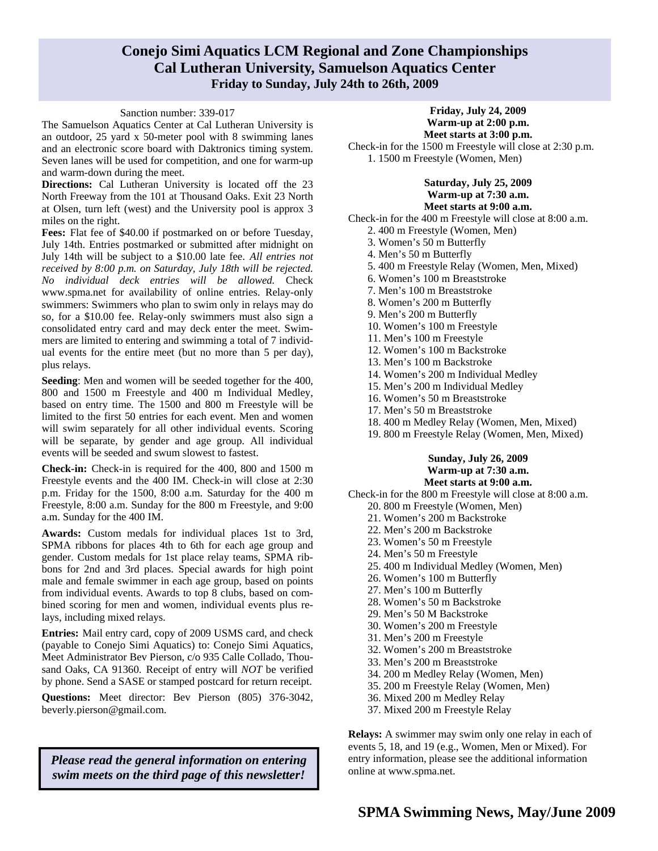## **Conejo Simi Aquatics LCM Regional and Zone Championships Cal Lutheran University, Samuelson Aquatics Center Friday to Sunday, July 24th to 26th, 2009**

### Sanction number: 339-017

The Samuelson Aquatics Center at Cal Lutheran University is an outdoor, 25 yard x 50-meter pool with 8 swimming lanes and an electronic score board with Daktronics timing system. Seven lanes will be used for competition, and one for warm-up and warm-down during the meet.

**Directions:** Cal Lutheran University is located off the 23 North Freeway from the 101 at Thousand Oaks. Exit 23 North at Olsen, turn left (west) and the University pool is approx 3 miles on the right.

**Fees:** Flat fee of \$40.00 if postmarked on or before Tuesday, July 14th. Entries postmarked or submitted after midnight on July 14th will be subject to a \$10.00 late fee. *All entries not received by 8:00 p.m. on Saturday, July 18th will be rejected. No individual deck entries will be allowed.* Check www.spma.net for availability of online entries. Relay-only swimmers: Swimmers who plan to swim only in relays may do so, for a \$10.00 fee. Relay-only swimmers must also sign a consolidated entry card and may deck enter the meet. Swimmers are limited to entering and swimming a total of 7 individual events for the entire meet (but no more than 5 per day), plus relays.

**Seeding**: Men and women will be seeded together for the 400, 800 and 1500 m Freestyle and 400 m Individual Medley, based on entry time. The 1500 and 800 m Freestyle will be limited to the first 50 entries for each event. Men and women will swim separately for all other individual events. Scoring will be separate, by gender and age group. All individual events will be seeded and swum slowest to fastest.

**Check-in:** Check-in is required for the 400, 800 and 1500 m Freestyle events and the 400 IM. Check-in will close at 2:30 p.m. Friday for the 1500, 8:00 a.m. Saturday for the 400 m Freestyle, 8:00 a.m. Sunday for the 800 m Freestyle, and 9:00 a.m. Sunday for the 400 IM.

**Awards:** Custom medals for individual places 1st to 3rd, SPMA ribbons for places 4th to 6th for each age group and gender. Custom medals for 1st place relay teams, SPMA ribbons for 2nd and 3rd places. Special awards for high point male and female swimmer in each age group, based on points from individual events. Awards to top 8 clubs, based on combined scoring for men and women, individual events plus relays, including mixed relays.

**Entries:** Mail entry card, copy of 2009 USMS card, and check (payable to Conejo Simi Aquatics) to: Conejo Simi Aquatics, Meet Administrator Bev Pierson, c/o 935 Calle Collado, Thousand Oaks, CA 91360. Receipt of entry will *NOT* be verified by phone. Send a SASE or stamped postcard for return receipt.

**Questions:** Meet director: Bev Pierson (805) 376-3042, beverly.pierson@gmail.com.

*Please read the general information on entering swim meets on the third page of this newsletter!* 

**Friday, July 24, 2009 Warm-up at 2:00 p.m. Meet starts at 3:00 p.m.** 

Check-in for the 1500 m Freestyle will close at 2:30 p.m. 1. 1500 m Freestyle (Women, Men)

### **Saturday, July 25, 2009 Warm-up at 7:30 a.m. Meet starts at 9:00 a.m.**

Check-in for the 400 m Freestyle will close at 8:00 a.m.

- 2. 400 m Freestyle (Women, Men)
- 3. Women's 50 m Butterfly
- 4. Men's 50 m Butterfly
- 5. 400 m Freestyle Relay (Women, Men, Mixed)
- 6. Women's 100 m Breaststroke
- 7. Men's 100 m Breaststroke
- 8. Women's 200 m Butterfly
- 9. Men's 200 m Butterfly
- 10. Women's 100 m Freestyle
- 11. Men's 100 m Freestyle
- 12. Women's 100 m Backstroke
- 13. Men's 100 m Backstroke
- 14. Women's 200 m Individual Medley
- 15. Men's 200 m Individual Medley
- 16. Women's 50 m Breaststroke
- 17. Men's 50 m Breaststroke
- 18. 400 m Medley Relay (Women, Men, Mixed)
- 19. 800 m Freestyle Relay (Women, Men, Mixed)

### **Sunday, July 26, 2009 Warm-up at 7:30 a.m. Meet starts at 9:00 a.m.**

Check-in for the 800 m Freestyle will close at 8:00 a.m. 20. 800 m Freestyle (Women, Men)

- 21. Women's 200 m Backstroke
- 22. Men's 200 m Backstroke
- 23. Women's 50 m Freestyle
- 24. Men's 50 m Freestyle
- 25. 400 m Individual Medley (Women, Men)
- 26. Women's 100 m Butterfly
- 27. Men's 100 m Butterfly
- 28. Women's 50 m Backstroke
- 29. Men's 50 M Backstroke
- 30. Women's 200 m Freestyle
- 31. Men's 200 m Freestyle
- 32. Women's 200 m Breaststroke
- 33. Men's 200 m Breaststroke
- 34. 200 m Medley Relay (Women, Men)
- 35. 200 m Freestyle Relay (Women, Men)
- 36. Mixed 200 m Medley Relay
- 37. Mixed 200 m Freestyle Relay

**Relays:** A swimmer may swim only one relay in each of events 5, 18, and 19 (e.g., Women, Men or Mixed). For entry information, please see the additional information online at www.spma.net.